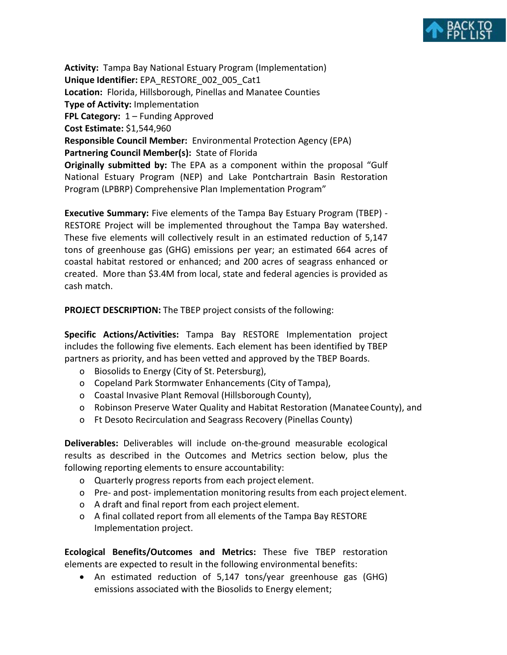

**Activity:** Tampa Bay National Estuary Program (Implementation) **Unique Identifier:** EPA\_RESTORE\_002\_005\_Cat1 **Location:** Florida, Hillsborough, Pinellas and Manatee Counties **Type of Activity:** Implementation **FPL Category:** 1 – Funding Approved **Cost Estimate:** \$1,544,960 **Responsible Council Member:** Environmental Protection Agency (EPA) **Partnering Council Member(s):** State of Florida **Originally submitted by:** The EPA as a component within the proposal "Gulf National Estuary Program (NEP) and Lake Pontchartrain Basin Restoration Program (LPBRP) Comprehensive Plan Implementation Program"

**Executive Summary:** Five elements of the Tampa Bay Estuary Program (TBEP) - RESTORE Project will be implemented throughout the Tampa Bay watershed. These five elements will collectively result in an estimated reduction of 5,147 tons of greenhouse gas (GHG) emissions per year; an estimated 664 acres of coastal habitat restored or enhanced; and 200 acres of seagrass enhanced or created. More than \$3.4M from local, state and federal agencies is provided as cash match.

**PROJECT DESCRIPTION:** The TBEP project consists of the following:

**Specific Actions/Activities:** Tampa Bay RESTORE Implementation project includes the following five elements. Each element has been identified by TBEP partners as priority, and has been vetted and approved by the TBEP Boards.

- o Biosolids to Energy (City of St. Petersburg),
- o Copeland Park Stormwater Enhancements (City of Tampa),
- o Coastal Invasive Plant Removal (Hillsborough County),
- o Robinson Preserve Water Quality and Habitat Restoration (ManateeCounty), and
- o Ft Desoto Recirculation and Seagrass Recovery (Pinellas County)

**Deliverables:** Deliverables will include on-the-ground measurable ecological results as described in the Outcomes and Metrics section below, plus the following reporting elements to ensure accountability:

- o Quarterly progress reports from each project element.
- o Pre- and post- implementation monitoring results from each project element.
- o A draft and final report from each project element.
- o A final collated report from all elements of the Tampa Bay RESTORE Implementation project.

**Ecological Benefits/Outcomes and Metrics:** These five TBEP restoration elements are expected to result in the following environmental benefits:

• An estimated reduction of 5,147 tons/year greenhouse gas (GHG) emissions associated with the Biosolids to Energy element;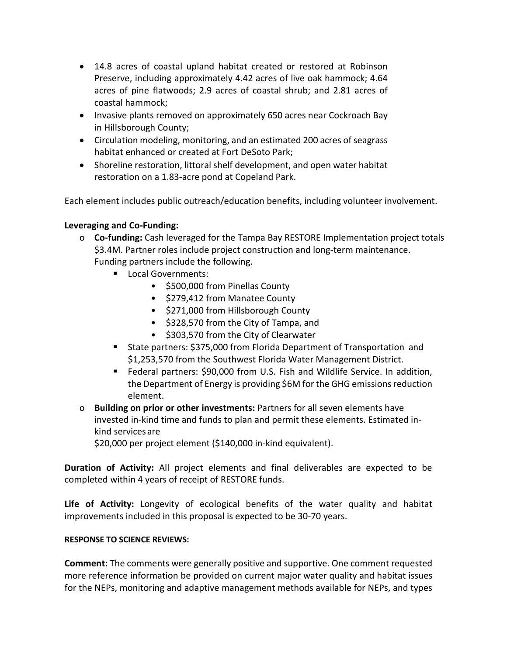- 14.8 acres of coastal upland habitat created or restored at Robinson Preserve, including approximately 4.42 acres of live oak hammock; 4.64 acres of pine flatwoods; 2.9 acres of coastal shrub; and 2.81 acres of coastal hammock;
- Invasive plants removed on approximately 650 acres near Cockroach Bay in Hillsborough County;
- Circulation modeling, monitoring, and an estimated 200 acres of seagrass habitat enhanced or created at Fort DeSoto Park;
- Shoreline restoration, littoral shelf development, and open water habitat restoration on a 1.83-acre pond at Copeland Park.

Each element includes public outreach/education benefits, including volunteer involvement.

## **Leveraging and Co-Funding:**

- o **Co-funding:** Cash leveraged for the Tampa Bay RESTORE Implementation project totals \$3.4M. Partner roles include project construction and long-term maintenance. Funding partners include the following.
	- **Local Governments:** 
		- \$500,000 from Pinellas County
		- \$279,412 from Manatee County
		- \$271,000 from Hillsborough County
		- \$328,570 from the City of Tampa, and
		- \$303,570 from the City of Clearwater
	- State partners: \$375,000 from Florida Department of Transportation and \$1,253,570 from the Southwest Florida Water Management District.
	- Federal partners: \$90,000 from U.S. Fish and Wildlife Service. In addition, the Department of Energy is providing \$6M for the GHG emissions reduction element.
- o **Building on prior or other investments:** Partners for all seven elements have invested in-kind time and funds to plan and permit these elements. Estimated inkind servicesare

\$20,000 per project element (\$140,000 in-kind equivalent).

**Duration of Activity:** All project elements and final deliverables are expected to be completed within 4 years of receipt of RESTORE funds.

**Life of Activity:** Longevity of ecological benefits of the water quality and habitat improvements included in this proposal is expected to be 30-70 years.

## **RESPONSE TO SCIENCE REVIEWS:**

**Comment:** The comments were generally positive and supportive. One comment requested more reference information be provided on current major water quality and habitat issues for the NEPs, monitoring and adaptive management methods available for NEPs, and types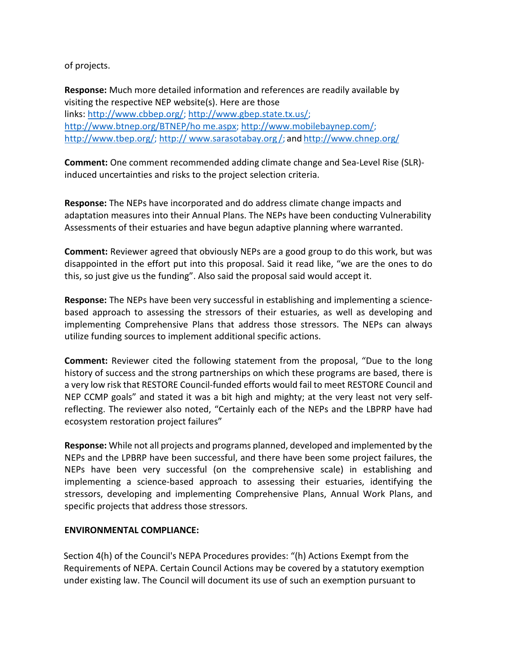of projects.

**Response:** Much more detailed information and references are readily available by visiting the respective NEP website(s). Here are those links: [http://www.cbbep.org/;](http://www.cbbep.org/) [http://www.gbep.state.tx.us/;](http://www.gbep.state.tx.us/)  [http://www.btnep.org/BTNEP/ho](http://www.btnep.org/BTNEP/home.aspx) [me.aspx;](http://www.btnep.org/BTNEP/home.aspx) [http://www.mobilebaynep.com/;](http://www.mobilebaynep.com/) [http://www.tbep.org/;](http://www.tbep.org/) [http://](http://www.sarasotabay.org/) [www.sarasotabay.org](http://www.sarasotabay.org/) /; and <http://www.chnep.org/>

**Comment:** One comment recommended adding climate change and Sea-Level Rise (SLR) induced uncertainties and risks to the project selection criteria.

**Response:** The NEPs have incorporated and do address climate change impacts and adaptation measures into their Annual Plans. The NEPs have been conducting Vulnerability Assessments of their estuaries and have begun adaptive planning where warranted.

**Comment:** Reviewer agreed that obviously NEPs are a good group to do this work, but was disappointed in the effort put into this proposal. Said it read like, "we are the ones to do this, so just give us the funding". Also said the proposal said would accept it.

**Response:** The NEPs have been very successful in establishing and implementing a sciencebased approach to assessing the stressors of their estuaries, as well as developing and implementing Comprehensive Plans that address those stressors. The NEPs can always utilize funding sources to implement additional specific actions.

**Comment:** Reviewer cited the following statement from the proposal, "Due to the long history of success and the strong partnerships on which these programs are based, there is a very low risk that RESTORE Council-funded efforts would fail to meet RESTORE Council and NEP CCMP goals" and stated it was a bit high and mighty; at the very least not very selfreflecting. The reviewer also noted, "Certainly each of the NEPs and the LBPRP have had ecosystem restoration project failures"

**Response:** While not all projects and programs planned, developed and implemented by the NEPs and the LPBRP have been successful, and there have been some project failures, the NEPs have been very successful (on the comprehensive scale) in establishing and implementing a science-based approach to assessing their estuaries, identifying the stressors, developing and implementing Comprehensive Plans, Annual Work Plans, and specific projects that address those stressors.

## **ENVIRONMENTAL COMPLIANCE:**

Section 4(h) of the Council's NEPA Procedures provides: "(h) Actions Exempt from the Requirements of NEPA. Certain Council Actions may be covered by a statutory exemption under existing law. The Council will document its use of such an exemption pursuant to